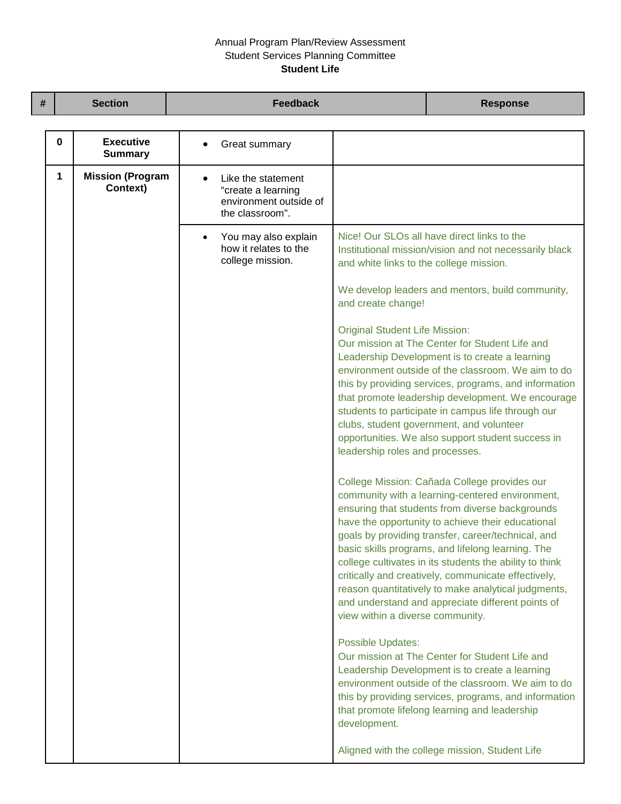## Annual Program Plan/Review Assessment Student Services Planning Committee **Student Life**

| # | <b>Section</b>                           | <b>Feedback</b>                                                                       |                                                                                                        | <b>Response</b>                                                                                                                                                                                                                                                                                                                                                                                                                                                                                                                                                                          |
|---|------------------------------------------|---------------------------------------------------------------------------------------|--------------------------------------------------------------------------------------------------------|------------------------------------------------------------------------------------------------------------------------------------------------------------------------------------------------------------------------------------------------------------------------------------------------------------------------------------------------------------------------------------------------------------------------------------------------------------------------------------------------------------------------------------------------------------------------------------------|
|   | <b>Executive</b><br>0<br><b>Summary</b>  | Great summary                                                                         |                                                                                                        |                                                                                                                                                                                                                                                                                                                                                                                                                                                                                                                                                                                          |
|   | <b>Mission (Program</b><br>1<br>Context) | Like the statement<br>"create a learning<br>environment outside of<br>the classroom". |                                                                                                        |                                                                                                                                                                                                                                                                                                                                                                                                                                                                                                                                                                                          |
|   |                                          | You may also explain<br>$\bullet$<br>how it relates to the<br>college mission.        | and white links to the college mission.<br>and create change!<br><b>Original Student Life Mission:</b> | Nice! Our SLOs all have direct links to the<br>Institutional mission/vision and not necessarily black<br>We develop leaders and mentors, build community,<br>Our mission at The Center for Student Life and<br>Leadership Development is to create a learning<br>environment outside of the classroom. We aim to do<br>this by providing services, programs, and information<br>that promote leadership development. We encourage<br>students to participate in campus life through our<br>clubs, student government, and volunteer<br>opportunities. We also support student success in |
|   |                                          |                                                                                       | leadership roles and processes.<br>view within a diverse community.                                    | College Mission: Cañada College provides our<br>community with a learning-centered environment,<br>ensuring that students from diverse backgrounds<br>have the opportunity to achieve their educational<br>goals by providing transfer, career/technical, and<br>basic skills programs, and lifelong learning. The<br>college cultivates in its students the ability to think<br>critically and creatively, communicate effectively,<br>reason quantitatively to make analytical judgments,<br>and understand and appreciate different points of                                         |
|   |                                          |                                                                                       | <b>Possible Updates:</b><br>development.                                                               | Our mission at The Center for Student Life and<br>Leadership Development is to create a learning<br>environment outside of the classroom. We aim to do<br>this by providing services, programs, and information<br>that promote lifelong learning and leadership<br>Aligned with the college mission, Student Life                                                                                                                                                                                                                                                                       |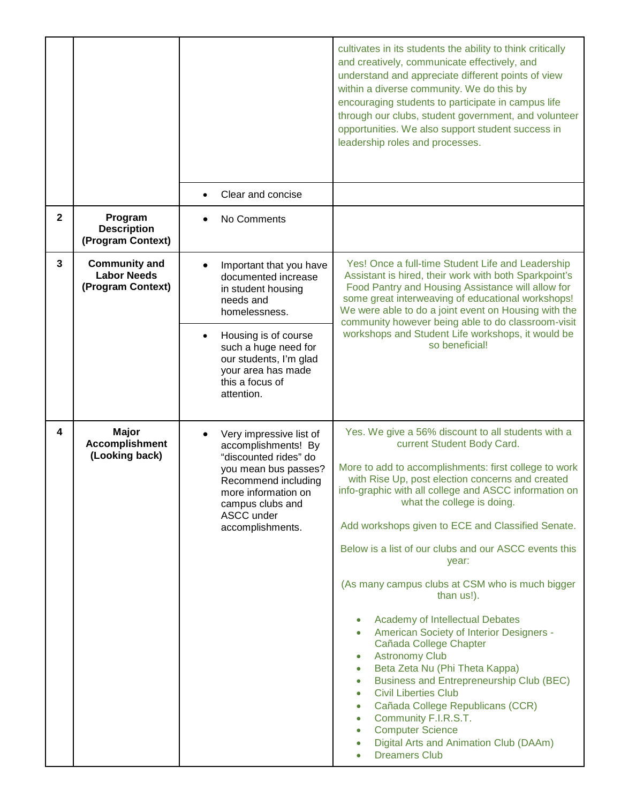|              |                                                                 |                                                                                                                                                                                                     | cultivates in its students the ability to think critically<br>and creatively, communicate effectively, and<br>understand and appreciate different points of view<br>within a diverse community. We do this by<br>encouraging students to participate in campus life<br>through our clubs, student government, and volunteer<br>opportunities. We also support student success in<br>leadership roles and processes.                                                                                                                                                                                                                                                                                                                                                                                                                                                                                                                                                                                       |
|--------------|-----------------------------------------------------------------|-----------------------------------------------------------------------------------------------------------------------------------------------------------------------------------------------------|-----------------------------------------------------------------------------------------------------------------------------------------------------------------------------------------------------------------------------------------------------------------------------------------------------------------------------------------------------------------------------------------------------------------------------------------------------------------------------------------------------------------------------------------------------------------------------------------------------------------------------------------------------------------------------------------------------------------------------------------------------------------------------------------------------------------------------------------------------------------------------------------------------------------------------------------------------------------------------------------------------------|
|              |                                                                 | Clear and concise                                                                                                                                                                                   |                                                                                                                                                                                                                                                                                                                                                                                                                                                                                                                                                                                                                                                                                                                                                                                                                                                                                                                                                                                                           |
| $\mathbf{2}$ | Program<br><b>Description</b><br>(Program Context)              | No Comments                                                                                                                                                                                         |                                                                                                                                                                                                                                                                                                                                                                                                                                                                                                                                                                                                                                                                                                                                                                                                                                                                                                                                                                                                           |
| $\mathbf{3}$ | <b>Community and</b><br><b>Labor Needs</b><br>(Program Context) | Important that you have<br>documented increase<br>in student housing<br>needs and<br>homelessness.                                                                                                  | Yes! Once a full-time Student Life and Leadership<br>Assistant is hired, their work with both Sparkpoint's<br>Food Pantry and Housing Assistance will allow for<br>some great interweaving of educational workshops!<br>We were able to do a joint event on Housing with the<br>community however being able to do classroom-visit                                                                                                                                                                                                                                                                                                                                                                                                                                                                                                                                                                                                                                                                        |
|              |                                                                 | Housing is of course<br>such a huge need for<br>our students, I'm glad<br>your area has made<br>this a focus of<br>attention.                                                                       | workshops and Student Life workshops, it would be<br>so beneficial!                                                                                                                                                                                                                                                                                                                                                                                                                                                                                                                                                                                                                                                                                                                                                                                                                                                                                                                                       |
| 4            | <b>Major</b><br><b>Accomplishment</b><br>(Looking back)         | Very impressive list of<br>accomplishments! By<br>"discounted rides" do<br>you mean bus passes?<br>Recommend including<br>more information on<br>campus clubs and<br>ASCC under<br>accomplishments. | Yes. We give a 56% discount to all students with a<br>current Student Body Card.<br>More to add to accomplishments: first college to work<br>with Rise Up, post election concerns and created<br>info-graphic with all college and ASCC information on<br>what the college is doing.<br>Add workshops given to ECE and Classified Senate.<br>Below is a list of our clubs and our ASCC events this<br>year:<br>(As many campus clubs at CSM who is much bigger<br>than us!).<br>Academy of Intellectual Debates<br>$\bullet$<br>American Society of Interior Designers -<br>$\bullet$<br>Cañada College Chapter<br><b>Astronomy Club</b><br>$\bullet$<br>Beta Zeta Nu (Phi Theta Kappa)<br>$\bullet$<br>Business and Entrepreneurship Club (BEC)<br>$\bullet$<br><b>Civil Liberties Club</b><br>$\bullet$<br>Cañada College Republicans (CCR)<br>$\bullet$<br>Community F.I.R.S.T.<br>$\bullet$<br><b>Computer Science</b><br>$\bullet$<br>Digital Arts and Animation Club (DAAm)<br><b>Dreamers Club</b> |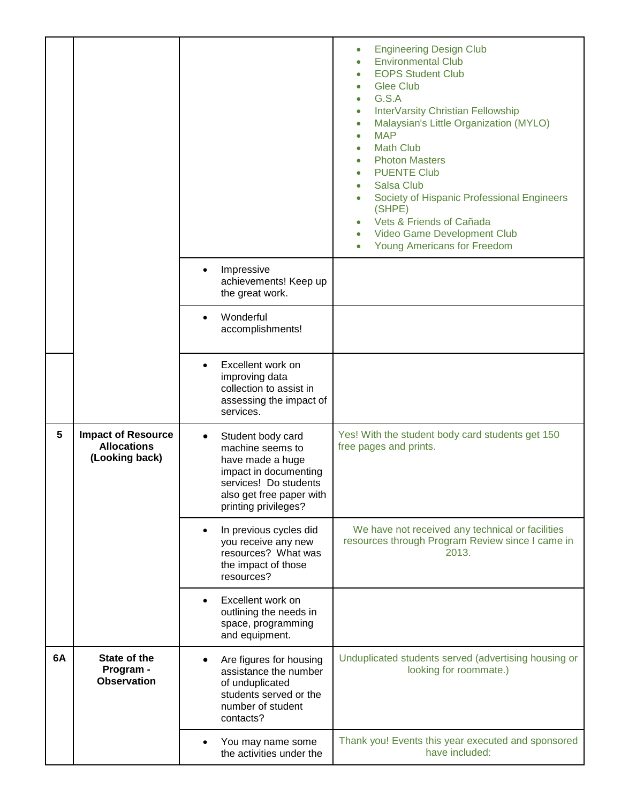|    |                                                                   |                                                                                                                                                                              | <b>Engineering Design Club</b><br>$\bullet$<br><b>Environmental Club</b><br>$\bullet$<br><b>EOPS Student Club</b><br>$\bullet$<br><b>Glee Club</b><br>$\bullet$<br>G.S.A<br>$\bullet$<br>InterVarsity Christian Fellowship<br>$\bullet$<br>Malaysian's Little Organization (MYLO)<br>$\bullet$<br><b>MAP</b><br>$\bullet$<br><b>Math Club</b><br>$\bullet$<br><b>Photon Masters</b><br>$\bullet$<br><b>PUENTE Club</b><br>$\bullet$<br><b>Salsa Club</b><br>$\bullet$<br>Society of Hispanic Professional Engineers<br>$\bullet$<br>(SHPE)<br>Vets & Friends of Cañada<br>$\bullet$<br>Video Game Development Club<br>$\bullet$<br><b>Young Americans for Freedom</b><br>$\bullet$ |
|----|-------------------------------------------------------------------|------------------------------------------------------------------------------------------------------------------------------------------------------------------------------|------------------------------------------------------------------------------------------------------------------------------------------------------------------------------------------------------------------------------------------------------------------------------------------------------------------------------------------------------------------------------------------------------------------------------------------------------------------------------------------------------------------------------------------------------------------------------------------------------------------------------------------------------------------------------------|
|    |                                                                   | Impressive<br>achievements! Keep up<br>the great work.                                                                                                                       |                                                                                                                                                                                                                                                                                                                                                                                                                                                                                                                                                                                                                                                                                    |
|    |                                                                   | Wonderful<br>accomplishments!                                                                                                                                                |                                                                                                                                                                                                                                                                                                                                                                                                                                                                                                                                                                                                                                                                                    |
|    |                                                                   | Excellent work on<br>improving data<br>collection to assist in<br>assessing the impact of<br>services.                                                                       |                                                                                                                                                                                                                                                                                                                                                                                                                                                                                                                                                                                                                                                                                    |
| 5  | <b>Impact of Resource</b><br><b>Allocations</b><br>(Looking back) | Student body card<br>$\bullet$<br>machine seems to<br>have made a huge<br>impact in documenting<br>services! Do students<br>also get free paper with<br>printing privileges? | Yes! With the student body card students get 150<br>free pages and prints.                                                                                                                                                                                                                                                                                                                                                                                                                                                                                                                                                                                                         |
|    |                                                                   | In previous cycles did<br>you receive any new<br>resources? What was<br>the impact of those<br>resources?                                                                    | We have not received any technical or facilities<br>resources through Program Review since I came in<br>2013.                                                                                                                                                                                                                                                                                                                                                                                                                                                                                                                                                                      |
|    |                                                                   | Excellent work on<br>outlining the needs in<br>space, programming<br>and equipment.                                                                                          |                                                                                                                                                                                                                                                                                                                                                                                                                                                                                                                                                                                                                                                                                    |
| 6A | State of the<br>Program -<br><b>Observation</b>                   | Are figures for housing<br>assistance the number<br>of unduplicated<br>students served or the<br>number of student<br>contacts?                                              | Unduplicated students served (advertising housing or<br>looking for roommate.)                                                                                                                                                                                                                                                                                                                                                                                                                                                                                                                                                                                                     |
|    |                                                                   | You may name some<br>the activities under the                                                                                                                                | Thank you! Events this year executed and sponsored<br>have included:                                                                                                                                                                                                                                                                                                                                                                                                                                                                                                                                                                                                               |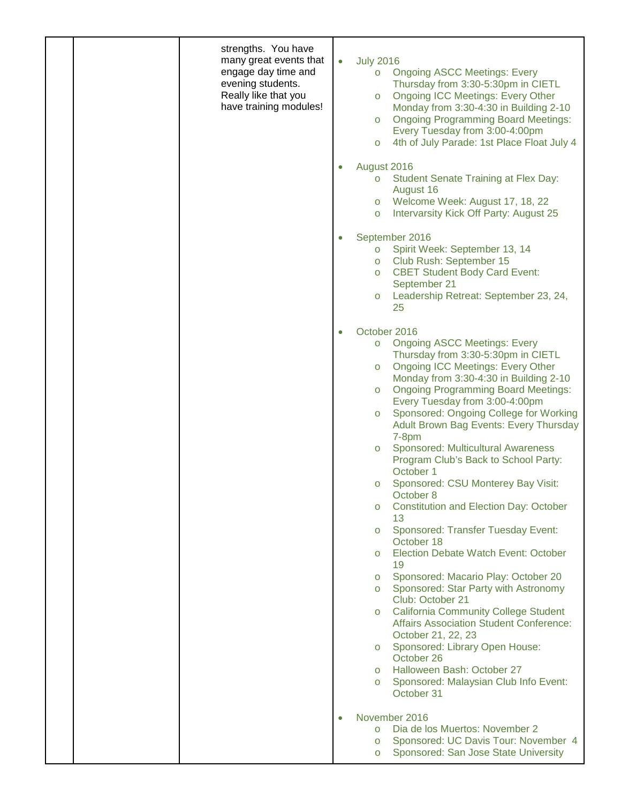| strengths. You have<br>many great events that<br>engage day time and<br>evening students.<br>Really like that you<br>have training modules! | <b>July 2016</b><br>$\bullet$<br><b>Ongoing ASCC Meetings: Every</b><br>$\circ$<br>Thursday from 3:30-5:30pm in CIETL<br><b>Ongoing ICC Meetings: Every Other</b><br>$\circ$<br>Monday from 3:30-4:30 in Building 2-10<br><b>Ongoing Programming Board Meetings:</b><br>$\circ$<br>Every Tuesday from 3:00-4:00pm<br>4th of July Parade: 1st Place Float July 4<br>$\circ$<br>August 2016<br><b>Student Senate Training at Flex Day:</b><br>$\circ$<br>August 16<br>o Welcome Week: August 17, 18, 22<br>Intervarsity Kick Off Party: August 25<br>$\circ$<br>September 2016<br>Spirit Week: September 13, 14<br>$\circ$<br>Club Rush: September 15<br>$\circ$<br><b>CBET Student Body Card Event:</b><br>$\circ$                                                                            |
|---------------------------------------------------------------------------------------------------------------------------------------------|----------------------------------------------------------------------------------------------------------------------------------------------------------------------------------------------------------------------------------------------------------------------------------------------------------------------------------------------------------------------------------------------------------------------------------------------------------------------------------------------------------------------------------------------------------------------------------------------------------------------------------------------------------------------------------------------------------------------------------------------------------------------------------------------|
|                                                                                                                                             | September 21<br>Leadership Retreat: September 23, 24,<br>$\circ$<br>25                                                                                                                                                                                                                                                                                                                                                                                                                                                                                                                                                                                                                                                                                                                       |
|                                                                                                                                             | October 2016<br>$\bullet$<br><b>Ongoing ASCC Meetings: Every</b><br>$\circ$<br>Thursday from 3:30-5:30pm in CIETL<br><b>Ongoing ICC Meetings: Every Other</b><br>$\circ$<br>Monday from 3:30-4:30 in Building 2-10<br><b>Ongoing Programming Board Meetings:</b><br>$\circ$<br>Every Tuesday from 3:00-4:00pm<br>Sponsored: Ongoing College for Working<br>$\circ$<br>Adult Brown Bag Events: Every Thursday<br>$7-8pm$<br>Sponsored: Multicultural Awareness<br>$\circ$<br>Program Club's Back to School Party:<br>October 1<br>Sponsored: CSU Monterey Bay Visit:<br>$\circ$<br>October 8<br><b>Constitution and Election Day: October</b><br>$\circ$<br>13<br><b>Sponsored: Transfer Tuesday Event:</b><br>$\circ$<br>October 18<br>Election Debate Watch Event: October<br>$\circ$<br>19 |
|                                                                                                                                             | Sponsored: Macario Play: October 20<br>$\circ$<br>Sponsored: Star Party with Astronomy<br>$\circ$<br>Club: October 21<br><b>California Community College Student</b><br>$\circ$<br><b>Affairs Association Student Conference:</b><br>October 21, 22, 23<br>Sponsored: Library Open House:<br>$\circ$<br>October 26<br>Halloween Bash: October 27<br>$\circ$<br>Sponsored: Malaysian Club Info Event:<br>$\circ$<br>October 31                                                                                                                                                                                                                                                                                                                                                                |
|                                                                                                                                             | November 2016<br>Dia de los Muertos: November 2<br>$\circ$<br>Sponsored: UC Davis Tour: November 4<br>$\circ$<br>Sponsored: San Jose State University<br>$\circ$                                                                                                                                                                                                                                                                                                                                                                                                                                                                                                                                                                                                                             |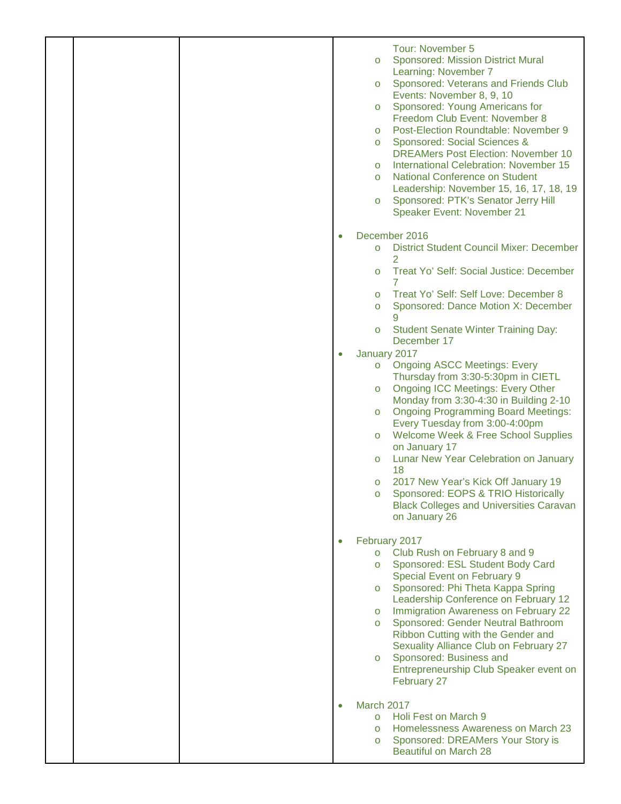|  |           | Tour: November 5<br><b>Sponsored: Mission District Mural</b><br>$\circ$<br>Learning: November 7<br>Sponsored: Veterans and Friends Club<br>$\circ$<br>Events: November 8, 9, 10<br>Sponsored: Young Americans for<br>$\circ$<br>Freedom Club Event: November 8<br>Post-Election Roundtable: November 9<br>$\circ$<br>Sponsored: Social Sciences &<br>$\circ$<br><b>DREAMers Post Election: November 10</b><br>International Celebration: November 15<br>$\circ$<br><b>National Conference on Student</b><br>$\circ$<br>Leadership: November 15, 16, 17, 18, 19<br>Sponsored: PTK's Senator Jerry Hill<br>$\circ$<br>Speaker Event: November 21 |
|--|-----------|------------------------------------------------------------------------------------------------------------------------------------------------------------------------------------------------------------------------------------------------------------------------------------------------------------------------------------------------------------------------------------------------------------------------------------------------------------------------------------------------------------------------------------------------------------------------------------------------------------------------------------------------|
|  | $\bullet$ | December 2016<br>District Student Council Mixer: December<br>$\circ$<br>2<br>Treat Yo' Self: Social Justice: December<br>$\circ$<br>Treat Yo' Self: Self Love: December 8<br>$\circ$<br>Sponsored: Dance Motion X: December<br>$\circ$                                                                                                                                                                                                                                                                                                                                                                                                         |
|  |           | <b>Student Senate Winter Training Day:</b><br>$\circ$<br>December 17<br>January 2017                                                                                                                                                                                                                                                                                                                                                                                                                                                                                                                                                           |
|  |           | <b>Ongoing ASCC Meetings: Every</b><br>$\circ$<br>Thursday from 3:30-5:30pm in CIETL<br><b>Ongoing ICC Meetings: Every Other</b><br>$\circ$<br>Monday from 3:30-4:30 in Building 2-10<br><b>Ongoing Programming Board Meetings:</b><br>$\circ$<br>Every Tuesday from 3:00-4:00pm<br>Welcome Week & Free School Supplies<br>$\circ$<br>on January 17<br>Lunar New Year Celebration on January<br>$\circ$<br>18<br>2017 New Year's Kick Off January 19<br>$\circ$<br>Sponsored: EOPS & TRIO Historically<br><b>Black Colleges and Universities Caravan</b><br>on January 26                                                                      |
|  |           | February 2017<br>Club Rush on February 8 and 9<br>$\circ$<br>Sponsored: ESL Student Body Card<br>$\circ$<br>Special Event on February 9<br>Sponsored: Phi Theta Kappa Spring<br>$\circ$<br>Leadership Conference on February 12<br>Immigration Awareness on February 22<br>$\circ$<br>Sponsored: Gender Neutral Bathroom<br>$\circ$<br>Ribbon Cutting with the Gender and<br>Sexuality Alliance Club on February 27<br>Sponsored: Business and<br>$\circ$<br>Entrepreneurship Club Speaker event on<br>February 27                                                                                                                             |
|  |           | March 2017<br>Holi Fest on March 9<br>$\circ$<br>Homelessness Awareness on March 23<br>$\circ$<br>Sponsored: DREAMers Your Story is<br>$\circ$<br><b>Beautiful on March 28</b>                                                                                                                                                                                                                                                                                                                                                                                                                                                                 |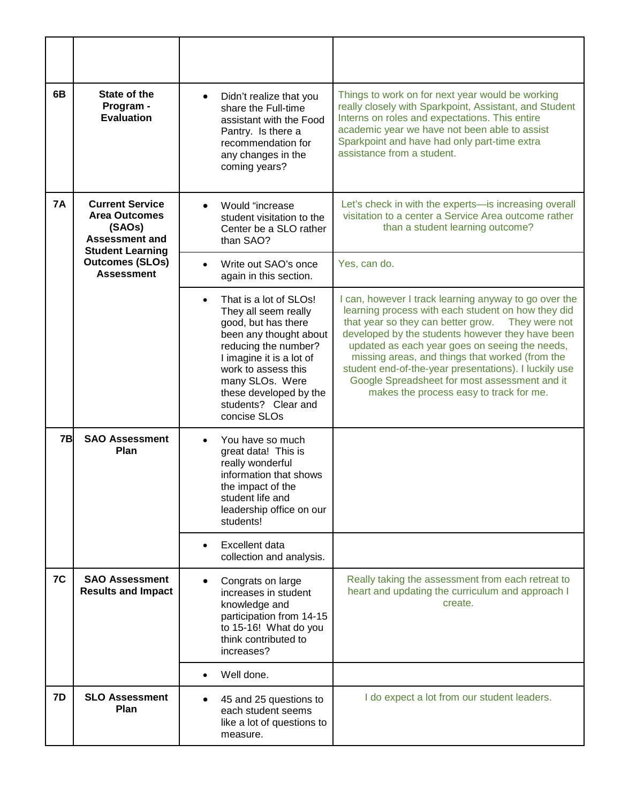| 6B        | State of the<br>Program -<br><b>Evaluation</b>                                                               | Didn't realize that you<br>$\bullet$<br>share the Full-time<br>assistant with the Food<br>Pantry. Is there a<br>recommendation for<br>any changes in the<br>coming years?                                                                                      | Things to work on for next year would be working<br>really closely with Sparkpoint, Assistant, and Student<br>Interns on roles and expectations. This entire<br>academic year we have not been able to assist<br>Sparkpoint and have had only part-time extra<br>assistance from a student.                                                                                                                                                                                      |
|-----------|--------------------------------------------------------------------------------------------------------------|----------------------------------------------------------------------------------------------------------------------------------------------------------------------------------------------------------------------------------------------------------------|----------------------------------------------------------------------------------------------------------------------------------------------------------------------------------------------------------------------------------------------------------------------------------------------------------------------------------------------------------------------------------------------------------------------------------------------------------------------------------|
| <b>7A</b> | <b>Current Service</b><br><b>Area Outcomes</b><br>(SAOs)<br><b>Assessment and</b><br><b>Student Learning</b> | Would "increase<br>student visitation to the<br>Center be a SLO rather<br>than SAO?                                                                                                                                                                            | Let's check in with the experts-is increasing overall<br>visitation to a center a Service Area outcome rather<br>than a student learning outcome?                                                                                                                                                                                                                                                                                                                                |
|           | <b>Outcomes (SLOs)</b><br><b>Assessment</b>                                                                  | Write out SAO's once<br>again in this section.                                                                                                                                                                                                                 | Yes, can do.                                                                                                                                                                                                                                                                                                                                                                                                                                                                     |
|           |                                                                                                              | That is a lot of SLOs!<br>They all seem really<br>good, but has there<br>been any thought about<br>reducing the number?<br>I imagine it is a lot of<br>work to assess this<br>many SLOs. Were<br>these developed by the<br>students? Clear and<br>concise SLOs | I can, however I track learning anyway to go over the<br>learning process with each student on how they did<br>that year so they can better grow.<br>They were not<br>developed by the students however they have been<br>updated as each year goes on seeing the needs,<br>missing areas, and things that worked (from the<br>student end-of-the-year presentations). I luckily use<br>Google Spreadsheet for most assessment and it<br>makes the process easy to track for me. |
| 7B        | <b>SAO Assessment</b><br>Plan                                                                                | You have so much<br>great data! This is<br>really wonderful<br>information that shows<br>the impact of the<br>student life and<br>leadership office on our<br>students!                                                                                        |                                                                                                                                                                                                                                                                                                                                                                                                                                                                                  |
|           |                                                                                                              | <b>Excellent data</b><br>collection and analysis.                                                                                                                                                                                                              |                                                                                                                                                                                                                                                                                                                                                                                                                                                                                  |
| 7C        | <b>SAO Assessment</b><br><b>Results and Impact</b>                                                           | Congrats on large<br>increases in student<br>knowledge and<br>participation from 14-15<br>to 15-16! What do you<br>think contributed to<br>increases?                                                                                                          | Really taking the assessment from each retreat to<br>heart and updating the curriculum and approach I<br>create.                                                                                                                                                                                                                                                                                                                                                                 |
|           |                                                                                                              | Well done.                                                                                                                                                                                                                                                     |                                                                                                                                                                                                                                                                                                                                                                                                                                                                                  |
| 7D        | <b>SLO Assessment</b><br>Plan                                                                                | 45 and 25 questions to<br>each student seems<br>like a lot of questions to<br>measure.                                                                                                                                                                         | I do expect a lot from our student leaders.                                                                                                                                                                                                                                                                                                                                                                                                                                      |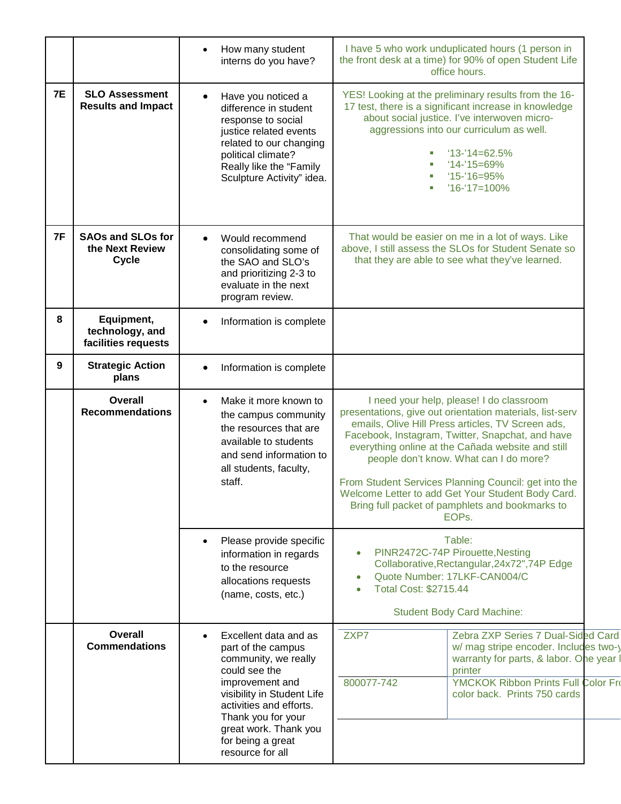|           |                                                             | How many student<br>interns do you have?                                                                                                                                                                                                                 | I have 5 who work unduplicated hours (1 person in<br>the front desk at a time) for 90% of open Student Life<br>office hours.                                                                                                                                                                                                                                                                                                                                                                       |  |
|-----------|-------------------------------------------------------------|----------------------------------------------------------------------------------------------------------------------------------------------------------------------------------------------------------------------------------------------------------|----------------------------------------------------------------------------------------------------------------------------------------------------------------------------------------------------------------------------------------------------------------------------------------------------------------------------------------------------------------------------------------------------------------------------------------------------------------------------------------------------|--|
| <b>7E</b> | <b>SLO Assessment</b><br><b>Results and Impact</b>          | Have you noticed a<br>difference in student<br>response to social<br>justice related events<br>related to our changing<br>political climate?<br>Really like the "Family<br>Sculpture Activity" idea.                                                     | YES! Looking at the preliminary results from the 16-<br>17 test, there is a significant increase in knowledge<br>about social justice. I've interwoven micro-<br>aggressions into our curriculum as well.<br>$'13-'14=62.5\%$<br>$14 - 15 = 69\%$<br>$15 - 16 = 95%$<br>$16-17=100\%$                                                                                                                                                                                                              |  |
| 7F        | <b>SAOs and SLOs for</b><br>the Next Review<br><b>Cycle</b> | Would recommend<br>consolidating some of<br>the SAO and SLO's<br>and prioritizing 2-3 to<br>evaluate in the next<br>program review.                                                                                                                      | That would be easier on me in a lot of ways. Like<br>above, I still assess the SLOs for Student Senate so<br>that they are able to see what they've learned.                                                                                                                                                                                                                                                                                                                                       |  |
| 8         | Equipment,<br>technology, and<br>facilities requests        | Information is complete                                                                                                                                                                                                                                  |                                                                                                                                                                                                                                                                                                                                                                                                                                                                                                    |  |
| 9         | <b>Strategic Action</b><br>plans                            | Information is complete                                                                                                                                                                                                                                  |                                                                                                                                                                                                                                                                                                                                                                                                                                                                                                    |  |
|           | <b>Overall</b><br><b>Recommendations</b>                    | Make it more known to<br>$\bullet$<br>the campus community<br>the resources that are<br>available to students<br>and send information to<br>all students, faculty,<br>staff.                                                                             | I need your help, please! I do classroom<br>presentations, give out orientation materials, list-serv<br>emails, Olive Hill Press articles, TV Screen ads,<br>Facebook, Instagram, Twitter, Snapchat, and have<br>everything online at the Cañada website and still<br>people don't know. What can I do more?<br>From Student Services Planning Council: get into the<br>Welcome Letter to add Get Your Student Body Card.<br>Bring full packet of pamphlets and bookmarks to<br>EOP <sub>s</sub> . |  |
|           |                                                             | Please provide specific<br>information in regards<br>to the resource<br>allocations requests<br>(name, costs, etc.)                                                                                                                                      | Table:<br>PINR2472C-74P Pirouette, Nesting<br>Collaborative, Rectangular, 24x72", 74P Edge<br>Quote Number: 17LKF-CAN004/C<br>Total Cost: \$2715.44<br><b>Student Body Card Machine:</b>                                                                                                                                                                                                                                                                                                           |  |
|           | Overall<br><b>Commendations</b>                             | Excellent data and as<br>part of the campus<br>community, we really<br>could see the<br>improvement and<br>visibility in Student Life<br>activities and efforts.<br>Thank you for your<br>great work. Thank you<br>for being a great<br>resource for all | ZXP7<br>Zebra ZXP Series 7 Dual-Sided Card<br>w/ mag stripe encoder. Includes two-y<br>warranty for parts, & labor. One year<br>printer<br>800077-742<br>YMCKOK Ribbon Prints Full Color Fro<br>color back. Prints 750 cards                                                                                                                                                                                                                                                                       |  |